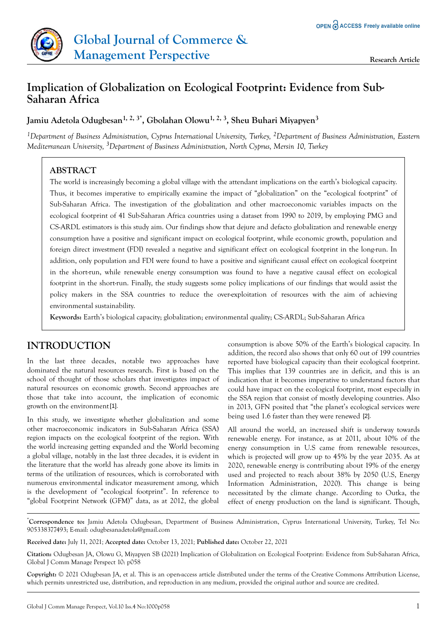

# **Implication of Globalization on Ecological Footprint: Evidence from Sub-Saharan Africa**

### **Jamiu Adetola Odugbesan1, 2, 3\*, Gbolahan Olowu1, 2, 3, Sheu Buhari Miyapyen<sup>3</sup>**

*<sup>1</sup>Department of Business Administration, Cyprus International University, Turkey, <sup>2</sup>Department of Business Administration, Eastern Mediterranean University, 3Department of Business Administration, North Cyprus, Mersin 10, Turkey*

## **ABSTRACT**

The world is increasingly becoming a global village with the attendant implications on the earth's biological capacity. Thus, it becomes imperative to empirically examine the impact of "globalization" on the "ecological footprint" of Sub-Saharan Africa. The investigation of the globalization and other macroeconomic variables impacts on the ecological footprint of 41 Sub-Saharan Africa countries using a dataset from 1990 to 2019, by employing PMG and CS-ARDL estimators is this study aim. Our findings show that dejure and defacto globalization and renewable energy consumption have a positive and significant impact on ecological footprint, while economic growth, population and foreign direct investment (FDI) revealed a negative and significant effect on ecological footprint in the long-run. In addition, only population and FDI were found to have a positive and significant causal effect on ecological footprint in the short-run, while renewable energy consumption was found to have a negative causal effect on ecological footprint in the short-run. Finally, the study suggests some policy implications of our findings that would assist the policy makers in the SSA countries to reduce the over-exploitation of resources with the aim of achieving environmental sustainability.

**Keywords:** Earth's biological capacity; globalization; environmental quality; CS-ARDL; Sub-Saharan Africa

## **INTRODUCTION**

In the last three decades, notable two approaches have dominated the natural resources research. First is based on the school of thought of those scholars that investigates impact of natural resources on economic growth. Second approaches are those that take into account, the implication of economic growth on the environment [1].

In this study, we investigate whether globalization and some other macroeconomic indicators in Sub-Saharan Africa (SSA) region impacts on the ecological footprint of the region. With the world increasing getting expanded and the World becoming a global village, notably in the last three decades, it is evident in the literature that the world has already gone above its limits in terms of the utilization of resources, which is corroborated with numerous environmental indicator measurement among, which is the development of "ecological footprint". In reference to "global Footprint Network (GFM)" data, as at 2012, the global

consumption is above 50% of the Earth's biological capacity. In addition, the record also shows that only 60 out of 199 countries reported have biological capacity than their ecological footprint. This implies that 139 countries are in deficit, and this is an indication that it becomes imperative to understand factors that could have impact on the ecological footprint, most especially in the SSA region that consist of mostly developing countries. Also in 2013, GFN posited that "the planet's ecological services were being used 1.6 faster than they were renewed [2].

All around the world, an increased shift is underway towards renewable energy. For instance, as at 2011, about 10% of the energy consumption in U.S came from renewable resources, which is projected will grow up to 45% by the year 2035. As at 2020, renewable energy is contributing about 19% of the energy used and projected to reach about 38% by 2050 (U.S, Energy Information Administration, 2020). This change is being necessitated by the climate change. According to Outka, the effect of energy production on the land is significant. Though,

\***Correspondence to:** Jamiu Adetola Odugbesan, Department of Business Administration, Cyprus International University, Turkey, Tel No: 905338377493; E-mail: odugbesanadetola@gmail.com

**Received date:** July 11, 2021*;* **Accepted date:** October 13, 2021*;* **Published date:** October 22, 2021

**Citation:** Odugbesan JA, Olowu G, Miyapyen SB (2021) Implication of Globalization on Ecological Footprint: Evidence from Sub-Saharan Africa, Global J Comm Manage Perspect 10: p058

**Copyright:** © 2021 Odugbesan JA, et al. This is an open-access article distributed under the terms of the Creative Commons Attribution License, which permits unrestricted use, distribution, and reproduction in any medium, provided the original author and source are credited.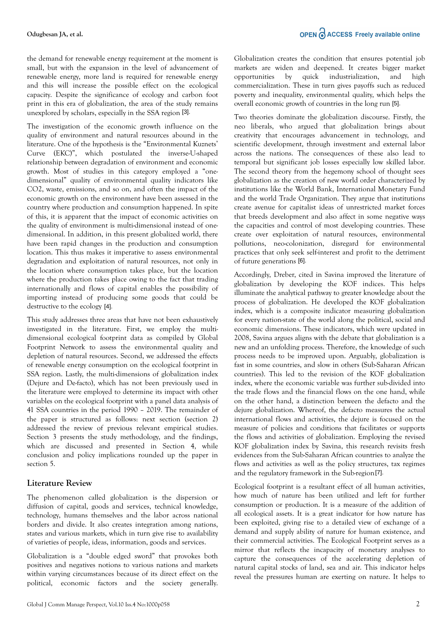the demand for renewable energy requirement at the moment is small, but with the expansion in the level of advancement of renewable energy, more land is required for renewable energy and this will increase the possible effect on the ecological capacity. Despite the significance of ecology and carbon foot print in this era of globalization, the area of the study remains unexplored by scholars, especially in the SSA region [3].

The investigation of the economic growth influence on the quality of environment and natural resources abound in the literature. One of the hypothesis is the "Environmental Kuznets' Curve (EKC)", which postulated the inverse-U-shaped relationship between degradation of environment and economic growth. Most of studies in this category employed a "onedimensional" quality of environmental quality indicators like CO2, waste, emissions, and so on, and often the impact of the economic growth on the environment have been assessed in the country where production and consumption happened. In spite of this, it is apparent that the impact of economic activities on the quality of environment is multi-dimensional instead of onedimensional. In addition, in this present globalized world, there have been rapid changes in the production and consumption location. This thus makes it imperative to assess environmental degradation and exploitation of natural resources, not only in the location where consumption takes place, but the location where the production takes place owing to the fact that trading internationally and flows of capital enables the possibility of importing instead of producing some goods that could be destructive to the ecology [4].

This study addresses three areas that have not been exhaustively investigated in the literature. First, we employ the multidimensional ecological footprint data as compiled by Global Footprint Network to assess the environmental quality and depletion of natural resources. Second, we addressed the effects of renewable energy consumption on the ecological footprint in SSA region. Lastly, the multi-dimensions of globalization index (Dejure and De-facto), which has not been previously used in the literature were employed to determine its impact with other variables on the ecological footprint with a panel data analysis of 41 SSA countries in the period 1990 – 2019. The remainder of the paper is structured as follows: next section (section 2) addressed the review of previous relevant empirical studies. Section 3 presents the study methodology, and the findings, which are discussed and presented in Section 4, while conclusion and policy implications rounded up the paper in section 5.

### **Literature Review**

The phenomenon called globalization is the dispersion or diffusion of capital, goods and services, technical knowledge, technology, humans themselves and the labor across national borders and divide. It also creates integration among nations, states and various markets, which in turn give rise to availability of varieties of people, ideas, information, goods and services.

Globalization is a "double edged sword" that provokes both positives and negatives notions to various nations and markets within varying circumstances because of its direct effect on the political, economic factors and the society generally. Globalization creates the condition that ensures potential job markets are widen and deepened. It creates bigger market opportunities by quick industrialization, and high commercialization. These in turn gives payoffs such as reduced poverty and inequality, environmental quality, which helps the overall economic growth of countries in the long run [5].

Two theories dominate the globalization discourse. Firstly, the neo liberals, who argued that globalization brings about creativity that encourages advancement in technology, and scientific development, through investment and external labor across the nations. The consequences of these also lead to temporal but significant job losses especially low skilled labor. The second theory from the hegemony school of thought sees globalization as the creation of new world order characterized by institutions like the World Bank, International Monetary Fund and the world Trade Organization. They argue that institutions create avenue for capitalist ideas of unrestricted market forces that breeds development and also affect in some negative ways the capacities and control of most developing countries. These create over exploitation of natural resources, environmental pollutions, neo-colonization, disregard for environmental practices that only seek self-interest and profit to the detriment of future generations [6].

Accordingly, Dreber, cited in Savina improved the literature of globalization by developing the KOF indices. This helps illuminate the analytical pathway to greater knowledge about the process of globalization. He developed the KOF globalization index, which is a composite indicator measuring globalization for every nation-state of the world along the political, social and economic dimensions. These indicators, which were updated in 2008, Savina argues aligns with the debate that globalization is a new and an unfolding process. Therefore, the knowledge of such process needs to be improved upon. Arguably, globalization is fast in some countries, and slow in others (Sub-Saharan African countries). This led to the revision of the KOF globalization index, where the economic variable was further sub-divided into the trade flows and the financial flows on the one hand, while on the other hand, a distinction between the defacto and the dejure globalization. Whereof, the defacto measures the actual international flows and activities, the dejure is focused on the measure of policies and conditions that facilitates or supports the flows and activities of globalization. Employing the revised KOF globalization index by Savina, this research revisits fresh evidences from the Sub-Saharan African countries to analyze the flows and activities as well as the policy structures, tax regimes and the regulatory framework in the Sub-region [7].

Ecological footprint is a resultant effect of all human activities, how much of nature has been utilized and left for further consumption or production. It is a measure of the addition of all ecological assets. It is a great indicator for how nature has been exploited, giving rise to a detailed view of exchange of a demand and supply ability of nature for human existence, and their commercial activities. The Ecological Footprint serves as a mirror that reflects the incapacity of monetary analyses to capture the consequences of the accelerating depletion of natural capital stocks of land, sea and air. This indicator helps reveal the pressures human are exerting on nature. It helps to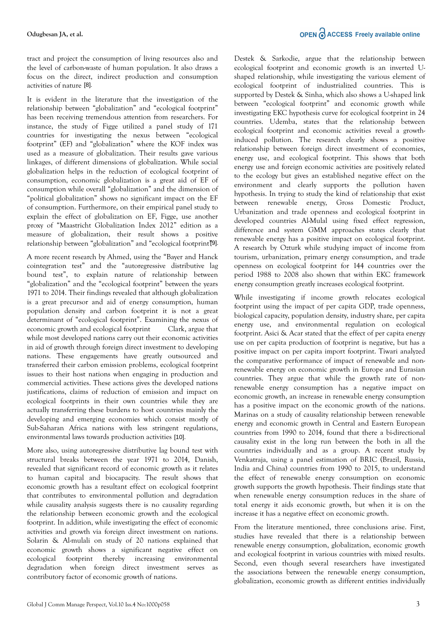tract and project the consumption of living resources also and the level of carbon-waste of human population. It also draws a focus on the direct, indirect production and consumption activities of nature [8].

It is evident in the literature that the investigation of the relationship between "globalization" and "ecological footprint" has been receiving tremendous attention from researchers. For instance, the study of Figge utilized a panel study of 171 countries for investigating the nexus between "ecological footprint" (EF) and "globalization" where the KOF index was used as a measure of globalization. Their results gave various linkages, of different dimensions of globalization. While social globalization helps in the reduction of ecological footprint of consumption, economic globalization is a great aid of EF of consumption while overall "globalization" and the dimension of "political globalization" shows no significant impact on the EF of consumption. Furthermore, on their empirical panel study to explain the effect of globalization on EF, Figge, use another proxy of "Maastricht Globalization Index 2012" edition as a measure of globalization, their result shows a positive relationship between "globalization" and "ecological footprint" [9].

A more recent research by Ahmed, using the "Bayer and Hanck cointegration test" and the "autoregressive distributive lag bound test", to explain nature of relationship between "globalization" and the "ecological footprint" between the years 1971 to 2014. Their findings revealed that although globalization is a great precursor and aid of energy consumption, human population density and carbon footprint it is not a great determinant of "ecological footprint". Examining the nexus of economic growth and ecological footprint Clark, argue that while most developed nations carry out their economic activities in aid of growth through foreign direct investment to developing nations. These engagements have greatly outsourced and transferred their carbon emission problems, ecological footprint issues to their host nations when engaging in production and commercial activities. These actions gives the developed nations justifications, claims of reduction of emission and impact on ecological footprints in their own countries while they are actually transferring these burdens to host countries mainly the developing and emerging economies which consist mostly of Sub-Saharan Africa nations with less stringent regulations, environmental laws towards production activities [10].

More also, using autoregressive distributive lag bound test with structural breaks between the year 1971 to 2014, Danish, revealed that significant record of economic growth as it relates to human capital and biocapacity. The result shows that economic growth has a resultant effect on ecological footprint that contributes to environmental pollution and degradation while causality analysis suggests there is no causality regarding the relationship between economic growth and the ecological footprint. In addition, while investigating the effect of economic activities and growth via foreign direct investment on nations. Solarin & Al-mulali on study of 20 nations explained that economic growth shows a significant negative effect on ecological footprint thereby increasing environmental degradation when foreign direct investment serves as contributory factor of economic growth of nations.

Destek & Sarkodie, argue that the relationship between ecological footprint and economic growth is an inverted Ushaped relationship, while investigating the various element of ecological footprint of industrialized countries. This is supported by Destek & Sinha, which also shows a U-shaped link between "ecological footprint" and economic growth while investigating EKC hypothesis curve for ecological footprint in 24 countries. Udemba, states that the relationship between ecological footprint and economic activities reveal a growthinduced pollution. The research clearly shows a positive relationship between foreign direct investment of economies, energy use, and ecological footprint. This shows that both energy use and foreign economic activities are positively related to the ecology but gives an established negative effect on the environment and clearly supports the pollution haven hypothesis. In trying to study the kind of relationship that exist between renewable energy, Gross Domestic Product, Urbanization and trade openness and ecological footprint in developed countries Al-Mulal using fixed effect regression, difference and system GMM approaches states clearly that renewable energy has a positive impact on ecological footprint. A research by Ozturk while studying impact of income from tourism, urbanization, primary energy consumption, and trade openness on ecological footprint for 144 countries over the period 1988 to 2008 also shown that within EKC framework energy consumption greatly increases ecological footprint.

While investigating if income growth relocates ecological footprint using the impact of per capita GDP, trade openness, biological capacity, population density, industry share, per capita energy use, and environmental regulation on ecological footprint. Asici & Acar stated that the effect of per capita energy use on per capita production of footprint is negative, but has a positive impact on per capita import footprint. Tiwari analyzed the comparative performance of impact of renewable and nonrenewable energy on economic growth in Europe and Eurasian countries. They argue that while the growth rate of nonrenewable energy consumption has a negative impact on economic growth, an increase in renewable energy consumption has a positive impact on the economic growth of the nations. Marinas on a study of causality relationship between renewable energy and economic growth in Central and Eastern European countries from 1990 to 2014, found that there a bi-directional causality exist in the long run between the both in all the countries individually and as a group. A recent study by Venkatraja, using a panel estimation of BRIC (Brazil, Russia, India and China) countries from 1990 to 2015, to understand the effect of renewable energy consumption on economic growth supports the growth hypothesis. Their findings state that when renewable energy consumption reduces in the share of total energy it aids economic growth, but when it is on the increase it has a negative effect on economic growth.

From the literature mentioned, three conclusions arise. First, studies have revealed that there is a relationship between renewable energy consumption, globalization, economic growth and ecological footprint in various countries with mixed results. Second, even though several researchers have investigated the associations between the renewable energy consumption, globalization, economic growth as different entities individually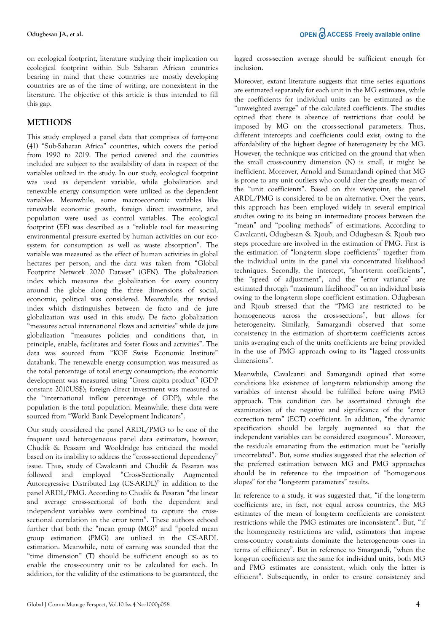on ecological footprint, literature studying their implication on ecological footprint within Sub Saharan African countries bearing in mind that these countries are mostly developing countries are as of the time of writing, are nonexistent in the literature. The objective of this article is thus intended to fill this gap.

### **METHODS**

This study employed a panel data that comprises of forty-one (41) "Sub-Saharan Africa" countries, which covers the period from 1990 to 2019. The period covered and the countries included are subject to the availability of data in respect of the variables utilized in the study. In our study, ecological footprint was used as dependent variable, while globalization and renewable energy consumption were utilized as the dependent variables. Meanwhile, some macroeconomic variables like renewable economic growth, foreign direct investment, and population were used as control variables. The ecological footprint (EF) was described as a "reliable tool for measuring environmental pressure exerted by human activities on our ecosystem for consumption as well as waste absorption". The variable was measured as the effect of human activities in global hectares per person, and the data was taken from "Global Footprint Network 2020 Dataset" (GFN). The globalization index which measures the globalization for every country around the globe along the three dimensions of social, economic, political was considered. Meanwhile, the revised index which distinguishes between de facto and de jure globalization was used in this study. De facto globalization "measures actual international flows and activities" while de jure globalization "measures policies and conditions that, in principle, enable, facilitates and foster flows and activities". The data was sourced from "KOF Swiss Economic Institute" databank. The renewable energy consumption was measured as the total percentage of total energy consumption; the economic development was measured using "Gross capita product" (GDP constant 2010US\$); foreign direct investment was measured as the "international inflow percentage of GDP), while the population is the total population. Meanwhile, these data were sourced from "World Bank Development Indicators".

Our study considered the panel ARDL/PMG to be one of the frequent used heterogeneous panel data estimators, however, Chudik & Peasarn and Wooldridge has criticized the model based on its inability to address the "cross-sectional dependency" issue. Thus, study of Cavalcanti and Chudik & Pesaran was followed and employed "Cross-Sectionally Augmented Autoregressive Distributed Lag (CS-ARDL)" in addition to the panel ARDL/PMG. According to Chudik & Pesaran "the linear and average cross-sectional of both the dependent and independent variables were combined to capture the crosssectional correlation in the error term". These authors echoed further that both the "mean group (MG)" and "pooled mean group estimation (PMG) are utilized in the CS-ARDL estimation. Meanwhile, note of earning was sounded that the "time dimension" (T) should be sufficient enough so as to enable the cross-country unit to be calculated for each. In addition, for the validity of the estimations to be guaranteed, the Moreover, extant literature suggests that time series equations are estimated separately for each unit in the MG estimates, while the coefficients for individual units can be estimated as the "unweighted average" of the calculated coefficients. The studies opined that there is absence of restrictions that could be imposed by MG on the cross-sectional parameters. Thus, different intercepts and coefficients could exist, owing to the affordability of the highest degree of heterogeneity by the MG. However, the technique was criticized on the ground that when the small cross-country dimension (N) is small, it might be inefficient. Moreover, Arnold and Samardandi opined that MG is prone to any unit outliers who could alter the greatly mean of the "unit coefficients". Based on this viewpoint, the panel ARDL/PMG is considered to be an alternative. Over the years, this approach has been employed widely in several empirical studies owing to its being an intermediate process between the "mean" and "pooling methods" of estimations. According to Cavalcanti, Odugbesan & Rjoub, and Odugbesan & Rjoub two steps procedure are involved in the estimation of PMG. First is the estimation of "long-term slope coefficients" together from the individual units in the panel via concentrated likelihood techniques. Secondly, the intercept, "short-term coefficients", the "speed of adjustment", and the "error variance" are estimated through "maximum likelihood" on an individual basis owing to the long-term slope coefficient estimation. Odugbesan and Rjoub stressed that the "PMG are restricted to be homogeneous across the cross-sections", but allows for heterogeneity. Similarly, Samargandi observed that some consistency in the estimation of short-term coefficients across units averaging each of the units coefficients are being provided in the use of PMG approach owing to its "lagged cross-units dimensions".

Meanwhile, Cavalcanti and Samargandi opined that some conditions like existence of long-term relationship among the variables of interest should be fulfilled before using PMG approach. This condition can be ascertained through the examination of the negative and significance of the "error correction term" (ECT) coefficient. In addition, "the dynamic specification should be largely augmented so that the independent variables can be considered exogenous". Moreover, the residuals emanating from the estimation must be "serially uncorrelated". But, some studies suggested that the selection of the preferred estimation between MG and PMG approaches should be in reference to the imposition of "homogenous slopes" for the "long-term parameters" results.

In reference to a study, it was suggested that, "if the long-term coefficients are, in fact, not equal across countries, the MG estimates of the mean of long-term coefficients are consistent restrictions while the PMG estimates are inconsistent". But, "if the homogeneity restrictions are valid, estimators that impose cross-country constraints dominate the heterogeneous ones in terms of efficiency". But in reference to Smargandi, "when the long-run coefficients are the same for individual units, both MG and PMG estimates are consistent, which only the latter is efficient". Subsequently, in order to ensure consistency and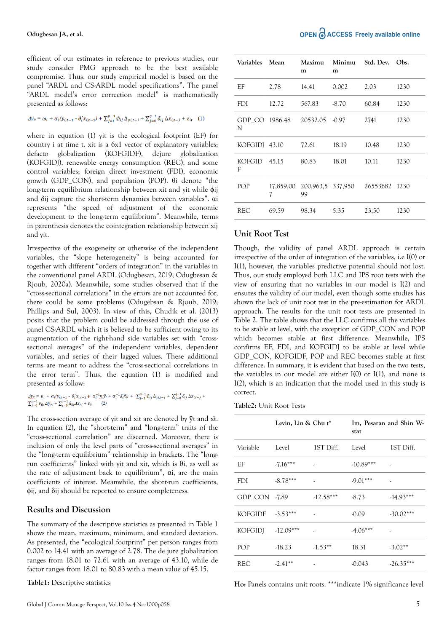efficient of our estimates in reference to previous studies, our study consider PMG approach to be the best available compromise. Thus, our study empirical model is based on the panel "ARDL and CS-ARDL model specifications". The panel "ARDL model's error correction model" is mathematically presented as follows:

$$
\Delta y_{it} = \omega_i + \alpha_i (y_{i,t-1} - \theta_i' x_{i,t-1}) + \sum_{j=1}^{p-1} \phi_{ij} \Delta_{y,i,t-j} + \sum_{j=0}^{q-1} \delta_{ij} \Delta x_{i,t-j} + \varepsilon_{it} \quad (1)
$$

where in equation (1) yit is the ecological footprint (EF) for country i at time t. xit is a 6x1 vector of explanatory variables; defacto globalization (KOFGIDF), dejure globalization (KOFGIDJ), renewable energy consumption (REC), and some control variables; foreign direct investment (FDI), economic growth (GDP\_CON), and population (POP). θi denote "the long-term equilibrium relationship between xit and yit while φij and δij capture the short-term dynamics between variables". αi represents "the speed of adjustment of the economic development to the long-term equilibrium". Meanwhile, terms in parenthesis denotes the cointegration relationship between xij and yit.

Irrespective of the exogeneity or otherwise of the independent variables, the "slope heterogeneity" is being accounted for together with different "orders of integration" in the variables in the conventional panel ARDL (Odugbesan, 2019; Odugbesan & Rjoub, 2020a). Meanwhile, some studies observed that if the "cross-sectional correlations" in the errors are not accounted for, there could be some problems (Odugebsan & Rjoub, 2019; Phillips and Sul, 2003). In view of this, Chudik et al. (2013) posits that the problem could be addressed through the use of panel CS-ARDL which it is believed to be sufficient owing to its augmentation of the right-hand side variables set with "crosssectional averages" of the independent variables, dependent variables, and series of their lagged values. These additional terms are meant to address the "cross-sectional correlations in the error term". Thus, the equation (1) is modified and presented as follow:

 $\underline{\mathcal{A}}\underline{v}_{tt} = \mu_i + \alpha_i(y_{i,t-1} - \theta_i' x_{i,t-1} + \alpha_i^{-1} \underline{n}_i \overline{y}_t + \alpha_i^{-1} \Delta_i' \overline{x}_t) + \sum_{j=1}^{p-1} \emptyset_{ij} \Delta_{y_i t-j} + \sum_{j=0}^{q-1} \delta_{ij} \Delta x_{i,t-j} +$  $\sum_{j=0}^{p-1} v_{ik} \, \varDelta \bar{y}_{tj} + \sum_{j=0}^{q-1} \bar{\Lambda}_{ik} \varDelta \bar{x}_{tj} + \varepsilon_{it} \qquad (2)$ 

The cross-section average of yit and xit are denoted by  $\bar{y}$ t and xt. In equation (2), the "short-term" and "long-term" traits of the "cross-sectional correlation" are discerned. Moreover, there is inclusion of only the level parts of "cross-sectional averages" in the "long-term equilibrium" relationship in brackets. The "longrun coefficients" linked with yit and xit, which is θi, as well as the rate of adjustment back to equilibrium",  $α$ *i*, are the main coefficients of interest. Meanwhile, the short-run coefficients, ϕij, and δij should be reported to ensure completeness.

#### **Results and Discussion**

The summary of the descriptive statistics as presented in Table 1 shows the mean, maximum, minimum, and standard deviation. As presented, the "ecological footprint" per person ranges from 0.002 to 14.41 with an average of 2.78. The de jure globalization ranges from 18.01 to 72.61 with an average of 43.10, while de factor ranges from 18.01 to 80.83 with a mean value of 45.15.

**Table1:** Descriptive statistics

| Variables     | Mean           | Maximu<br>m    | Minimu<br>m       | Std. Dev. | Obs. |
|---------------|----------------|----------------|-------------------|-----------|------|
| ЕF            | 2.78           | 14.41          | 0.002             | 2.03      | 1230 |
| <b>FDI</b>    | 12.72          | 567.83         | $-8.70$           | 60.84     | 1230 |
| N             | GDP CO 1986.48 | 20532.05 -0.97 |                   | 2741      | 1230 |
| KOFGIDI 43.10 |                | 72.61          | 18.19             | 10.48     | 1230 |
| KOFGID<br>F   | 45.15          | 80.83          | 18.01             | 10.11     | 1230 |
| POP           | 17,859,00<br>7 | 99             | 200,963,5 337,950 | 26553682  | 1230 |
| <b>REC</b>    | 69.59          | 98.34          | 5.35              | 23,50     | 1230 |

#### **Unit Root Test**

Though, the validity of panel ARDL approach is certain irrespective of the order of integration of the variables, i.e I(0) or I(1), however, the variables predictive potential should not lost. Thus, our study employed both LLC and IPS root tests with the view of ensuring that no variables in our model is I(2) and ensures the validity of our model, even though some studies has shown the lack of unit root test in the pre-estimation for ARDL approach. The results for the unit root tests are presented in Table 2. The table shows that the LLC confirms all the variables to be stable at level, with the exception of GDP\_CON and POP which becomes stable at first difference. Meanwhile, IPS confirms EF, FDI, and KOFGIDJ to be stable at level while GDP\_CON, KOFGIDF, POP and REC becomes stable at first difference. In summary, it is evident that based on the two tests, the variables in our model are either I(0) or I(1), and none is I(2), which is an indication that the model used in this study is correct.

**Table2:** Unit Root Tests

|                | Levin, Lin & Chu t* |             | stat        | Im, Pesaran and Shin W- |
|----------------|---------------------|-------------|-------------|-------------------------|
| Variable       | Level               | 1ST Diff.   | Level       | 1ST Diff.               |
| EF             | $-7.16***$          | ٠           | $-10.89***$ | ٠                       |
| <b>FDI</b>     | $-8.78***$          | ٠           | $-9.01***$  | ٠                       |
| GDP CON -7.89  |                     | $-12.58***$ | $-8.73$     | $-14.93***$             |
| <b>KOFGIDE</b> | $-3.53***$          | ,           | $-0.09$     | $-30.02***$             |
| <b>KOFGIDJ</b> | $-12.09***$         |             | $-4.06***$  |                         |
| POP            | $-18.23$            | $-1.53**$   | 18.31       | $-3.02**$               |
| REC            | $-2.41***$          |             | $-0.043$    | $-26.35***$             |

**Ho:** Panels contains unit roots. \*\*\*indicate 1% significance level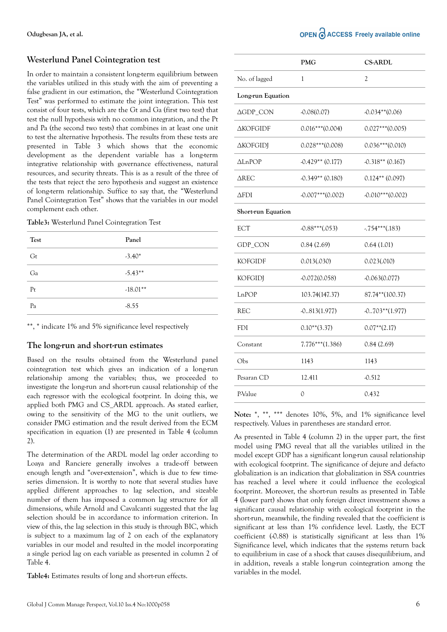### **Westerlund Panel Cointegration test**

In order to maintain a consistent long-term equilibrium between the variables utilized in this study with the aim of preventing a false gradient in our estimation, the "Westerlund Cointegration Test" was performed to estimate the joint integration. This test consist of four tests, which are the Gt and Ga (first two test) that test the null hypothesis with no common integration, and the Pt and Pa (the second two tests) that combines in at least one unit to test the alternative hypothesis. The results from these tests are presented in Table 3 which shows that the economic development as the dependent variable has a long-term integrative relationship with governance effectiveness, natural resources, and security threats. This is as a result of the three of the tests that reject the zero hypothesis and suggest an existence of long-term relationship. Suffice to say that, the "Westerlund Panel Cointegration Test" shows that the variables in our model complement each other.

|  |  |  | Table3: Westerlund Panel Cointegration Test |  |
|--|--|--|---------------------------------------------|--|
|--|--|--|---------------------------------------------|--|

| Test | Panel      |
|------|------------|
| Gt   | $-3.40*$   |
| Ga   | $-5.43**$  |
| Pt   | $-18.01**$ |
| Pa   | $-8.55$    |

\*\*, \* indicate 1% and 5% significance level respectively

#### **The long-run and short-run estimates**

Based on the results obtained from the Westerlund panel cointegration test which gives an indication of a long-run relationship among the variables; thus, we proceeded to investigate the long-run and short-run causal relationship of the each regressor with the ecological footprint. In doing this, we applied both PMG and CS\_ARDL approach. As stated earlier, owing to the sensitivity of the MG to the unit outliers, we consider PMG estimation and the result derived from the ECM specification in equation (1) are presented in Table 4 (column 2).

The determination of the ARDL model lag order according to Loaya and Ranciere generally involves a trade-off between enough length and "over-extension", which is due to few timeseries dimension. It is worthy to note that several studies have applied different approaches to lag selection, and sizeable number of them has imposed a common lag structure for all dimensions, while Arnold and Cavalcanti suggested that the lag selection should be in accordance to information criterion. In view of this, the lag selection in this study is through BIC, which is subject to a maximum lag of 2 on each of the explanatory variables in our model and resulted in the model incorporating a single period lag on each variable as presented in column 2 of Table 4.

**Table4:** Estimates results of long and short-run effects.

|                           | <b>PMG</b>          | <b>CS-ARDL</b>      |
|---------------------------|---------------------|---------------------|
| No. of lagged             | 1                   | 2                   |
| Long-run Equation         |                     |                     |
| ΔGDP_CON                  | $-0.08(0.07)$       | $-0.034**$ (0.06)   |
| <b>AKOFGIDE</b>           | $0.016***$ (0.004)  | $0.027***$ (0.005)  |
| <b>AKOFGIDJ</b>           | $0.028***$ (0.008)  | $0.036***(0.010)$   |
| ∆LnPOP                    | $-0.429**$ (0.177)  | $-0.318**$ (0.167)  |
| $\Delta$ REC              | $-0.349**$ (0.180)  | $0.124**$ (0.097)   |
| <b>AFDI</b>               | $-0.007***$ (0.002) | $-0.010***$ (0.002) |
| <b>Short-run Equation</b> |                     |                     |
| ECT                       | $-0.88***(0.053)$   | $-0.754***(0.183)$  |
| GDP_CON                   | 0.84(2.69)          | 0.64(1.01)          |
| KOFGIDF                   | 0.013(.030)         | 0.023(.010)         |
| <b>KOFGIDJ</b>            | $-0.072(0.058)$     | $-0.063(0.077)$     |
| LnPOP                     | 103.74(147.37)      | 87.74**(100.37)     |
| REC                       | $-0.813(1.977)$     | $-0.703**$ (1.977)  |
| <b>FDI</b>                | $0.10**$ (3.37)     | $0.07**$ (2.17)     |
| Constant                  | $7.776***$ (1.386)  | 0.84(2.69)          |
| Obs                       | 1143                | 1143                |
| Pesaran CD                | 12.411              | $-0.512$            |
| P-Value                   | 0                   | 0.432               |

Note: \*, \*\*, \*\*\* denotes 10%, 5%, and 1% significance level respectively. Values in parentheses are standard error.

As presented in Table 4 (column 2) in the upper part, the first model using PMG reveal that all the variables utilized in the model except GDP has a significant long-run causal relationship with ecological footprint. The significance of dejure and defacto globalization is an indication that globalization in SSA countries has reached a level where it could influence the ecological footprint. Moreover, the short-run results as presented in Table 4 (lower part) shows that only foreign direct investment shows a significant causal relationship with ecological footprint in the short-run, meanwhile, the finding revealed that the coefficient is significant at less than 1% confidence level. Lastly, the ECT coefficient (-0.88) is statistically significant at less than 1% Significance level, which indicates that the systems return back to equilibrium in case of a shock that causes disequilibrium, and in addition, reveals a stable long-run cointegration among the variables in the model.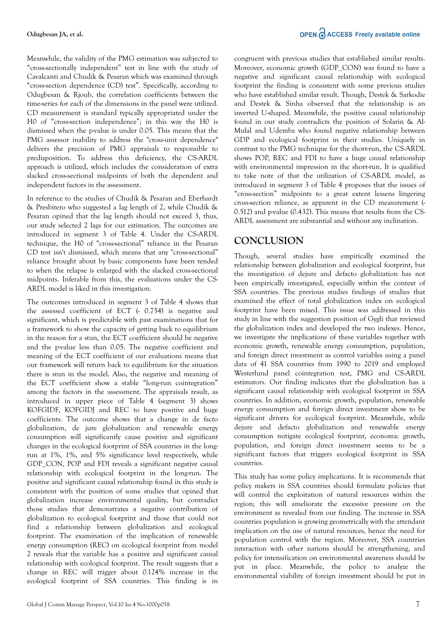Meanwhile, the validity of the PMG estimation was subjected to "cross-sectionally independent" test in line with the study of Cavalcanti and Chudik & Pesaran which was examined through "cross-section dependence (CD) test". Specifically, according to Odugbesan & Rjoub, the correlation coefficients between the time-series for each of the dimensions in the panel were utilized. CD measurement is standard typically appropriated under the H0 of "cross-section independence"; in this way the H0 is dismissed when the p-value is under 0.05. This means that the PMG assessor inability to address the "cross-unit dependence" delivers the precision of PMG appraisals to responsible to predisposition. To address this deficiency, the CS-ARDL approach is utilized, which includes the consideration of extra slacked cross-sectional midpoints of both the dependent and independent factors in the assessment.

In reference to the studies of Chudik & Pesaran and Eberhardt & Presbitero who suggested a lag length of 2, while Chudik & Pesaran opined that the lag length should not exceed 3, thus, our study selected 2 lags for our estimation. The outcomes are introduced in segment 3 of Table 4. Under the CS-ARDL technique, the H0 of "cross-sectional" reliance in the Pesaran CD test isn't dismissed, which means that any "cross-sectional" reliance brought about by basic components have been tended to when the relapse is enlarged with the slacked cross-sectional midpoints. Inferable from this, the evaluations under the CS-ARDL model is liked in this investigation.

The outcomes introduced in segment 3 of Table 4 shows that the assessed coefficient of ECT (- 0.754) is negative and significant, which is predictable with past examinations that for a framework to show the capacity of getting back to equilibrium in the reason for a stun, the ECT coefficient should be negative and the p-value less than 0.05. The negative coefficient and meaning of the ECT coefficient of our evaluations means that our framework will return back to equilibrium for the situation there is stun in the model. Also, the negative and meaning of the ECT coefficient show a stable "long-run cointegration" among the factors in the assessment. The appraisals result, as introduced in upper piece of Table 4 (segment 3) shows KOFGIDF, KOFGIDJ and REC to have positive and huge coefficients. The outcome shows that a change in de facto globalization, de jure globalization and renewable energy consumption will significantly cause positive and significant changes in the ecological footprint of SSA countries in the longrun at 1%, 1%, and 5% significance level respectively, while GDP\_CON, POP and FDI reveals a significant negative causal relationship with ecological footprint in the long-run. The positive and significant causal relationship found in this study is consistent with the position of some studies that opined that globalization increase environmental quality, but contradict those studies that demonstrates a negative contribution of globalization to ecological footprint and those that could not find a relationship between globalization and ecological footprint. The examination of the implication of renewable energy consumption (REC) on ecological footprint from model 2 reveals that the variable has a positive and significant causal relationship with ecological footprint. The result suggests that a change in REC will trigger about 0.124% increase in the ecological footprint of SSA countries. This finding is in congruent with previous studies that established similar results. Moreover, economic growth (GDP\_CON) was found to have a negative and significant causal relationship with ecological footprint the finding is consistent with some previous studies who have established similar result. Though, Destek & Sarkodie and Destek & Sinha observed that the relationship is an inverted U-shaped. Meanwhile, the positive causal relationship found in our study contradicts the position of Solarin & Al-Mulal and Udemba who found negative relationship between GDP and ecological footprint in their studies. Uniquely in contrast to the PMG technique for the short-run, the CS-ARDL shows POP, REC and FDI to have a huge causal relationship with environmental impression in the short-run. It is qualified to take note of that the utilization of CS-ARDL model, as introduced in segment 3 of Table 4 proposes that the issues of "cross-section" midpoints to a great extent lessens lingering cross-section reliance, as apparent in the CD measurement (- 0.512) and p-value (0.432). This means that results from the CS-ARDL assessment are substantial and without any inclination.

## **CONCLUSION**

Though, several studies have empirically examined the relationship between globalization and ecological footprint, but the investigation of dejure and defacto globalization has not been empirically investigated, especially within the context of SSA countries. The previous studies findings of studies that examined the effect of total globalization index on ecological footprint have been mixed. This issue was addressed in this study in line with the suggestion position of Gygli that reviewed the globalization index and developed the two indexes. Hence, we investigate the implications of these variables together with economic growth, renewable energy consumption, population, and foreign direct investment as control variables using a panel data of 41 SSA countries from 1990 to 2019 and employed Westerlund panel cointegration test, PMG and CS-ARDL estimators. Our finding indicates that the globalization has a significant causal relationship with ecological footprint in SSA countries. In addition, economic growth, population, renewable energy consumption and foreign direct investment show to be significant drivers for ecological footprint. Meanwhile, while dejure and defacto globalization and renewable energy consumption mitigate ecological footprint, economic growth, population, and foreign direct investment seems to be a significant factors that triggers ecological footprint in SSA countries.

This study has some policy implications. It is recommends that policy makers in SSA countries should formulate policies that will control the exploitation of natural resources within the region; this will ameliorate the excessive pressure on the environment as revealed from our finding. The increase in SSA countries population is growing geometrically with the attendant implication on the use of natural resources, hence the need for population control with the region. Moreover, SSA countries interaction with other nations should be strengthening, and policy for intensification on environmental awareness should be put in place. Meanwhile, the policy to analyze the environmental viability of foreign investment should be put in